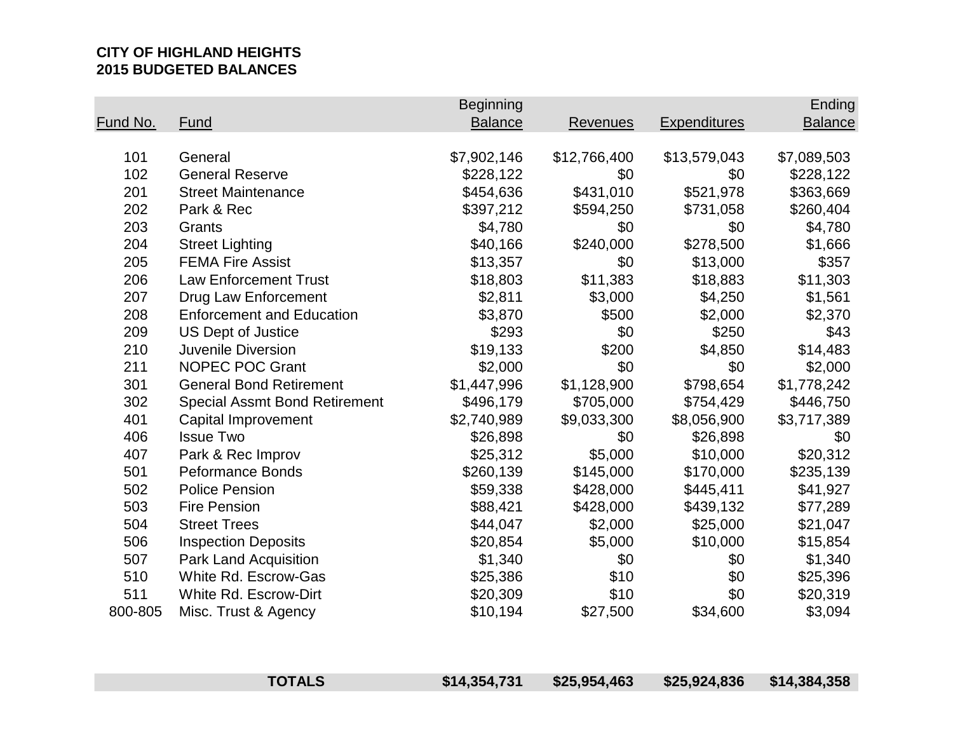# **CITY OF HIGHLAND HEIGHTS 2015 BUDGETED BALANCES**

|                 |                                      | <b>Beginning</b> |              |                     | Ending         |
|-----------------|--------------------------------------|------------------|--------------|---------------------|----------------|
| <b>Fund No.</b> | Fund                                 | <b>Balance</b>   | Revenues     | <b>Expenditures</b> | <b>Balance</b> |
|                 |                                      |                  |              |                     |                |
| 101             | General                              | \$7,902,146      | \$12,766,400 | \$13,579,043        | \$7,089,503    |
| 102             | <b>General Reserve</b>               | \$228,122        | \$0          | \$0                 | \$228,122      |
| 201             | <b>Street Maintenance</b>            | \$454,636        | \$431,010    | \$521,978           | \$363,669      |
| 202             | Park & Rec                           | \$397,212        | \$594,250    | \$731,058           | \$260,404      |
| 203             | Grants                               | \$4,780          | \$0          | \$0                 | \$4,780        |
| 204             | <b>Street Lighting</b>               | \$40,166         | \$240,000    | \$278,500           | \$1,666        |
| 205             | <b>FEMA Fire Assist</b>              | \$13,357         | \$0          | \$13,000            | \$357          |
| 206             | <b>Law Enforcement Trust</b>         | \$18,803         | \$11,383     | \$18,883            | \$11,303       |
| 207             | Drug Law Enforcement                 | \$2,811          | \$3,000      | \$4,250             | \$1,561        |
| 208             | <b>Enforcement and Education</b>     | \$3,870          | \$500        | \$2,000             | \$2,370        |
| 209             | <b>US Dept of Justice</b>            | \$293            | \$0          | \$250               | \$43           |
| 210             | <b>Juvenile Diversion</b>            | \$19,133         | \$200        | \$4,850             | \$14,483       |
| 211             | <b>NOPEC POC Grant</b>               | \$2,000          | \$0          | \$0                 | \$2,000        |
| 301             | <b>General Bond Retirement</b>       | \$1,447,996      | \$1,128,900  | \$798,654           | \$1,778,242    |
| 302             | <b>Special Assmt Bond Retirement</b> | \$496,179        | \$705,000    | \$754,429           | \$446,750      |
| 401             | Capital Improvement                  | \$2,740,989      | \$9,033,300  | \$8,056,900         | \$3,717,389    |
| 406             | <b>Issue Two</b>                     | \$26,898         | \$0          | \$26,898            | \$0            |
| 407             | Park & Rec Improv                    | \$25,312         | \$5,000      | \$10,000            | \$20,312       |
| 501             | <b>Peformance Bonds</b>              | \$260,139        | \$145,000    | \$170,000           | \$235,139      |
| 502             | <b>Police Pension</b>                | \$59,338         | \$428,000    | \$445,411           | \$41,927       |
| 503             | <b>Fire Pension</b>                  | \$88,421         | \$428,000    | \$439,132           | \$77,289       |
| 504             | <b>Street Trees</b>                  | \$44,047         | \$2,000      | \$25,000            | \$21,047       |
| 506             | <b>Inspection Deposits</b>           | \$20,854         | \$5,000      | \$10,000            | \$15,854       |
| 507             | Park Land Acquisition                | \$1,340          | \$0          | \$0                 | \$1,340        |
| 510             | White Rd. Escrow-Gas                 | \$25,386         | \$10         | \$0                 | \$25,396       |
| 511             | White Rd. Escrow-Dirt                | \$20,309         | \$10         | \$0                 | \$20,319       |
| 800-805         | Misc. Trust & Agency                 | \$10,194         | \$27,500     | \$34,600            | \$3,094        |

| <b>TOTALS</b> | \$14,354,731 | \$25,954,463 | \$25,924,836 | \$14,384,358 |
|---------------|--------------|--------------|--------------|--------------|
|               |              |              |              |              |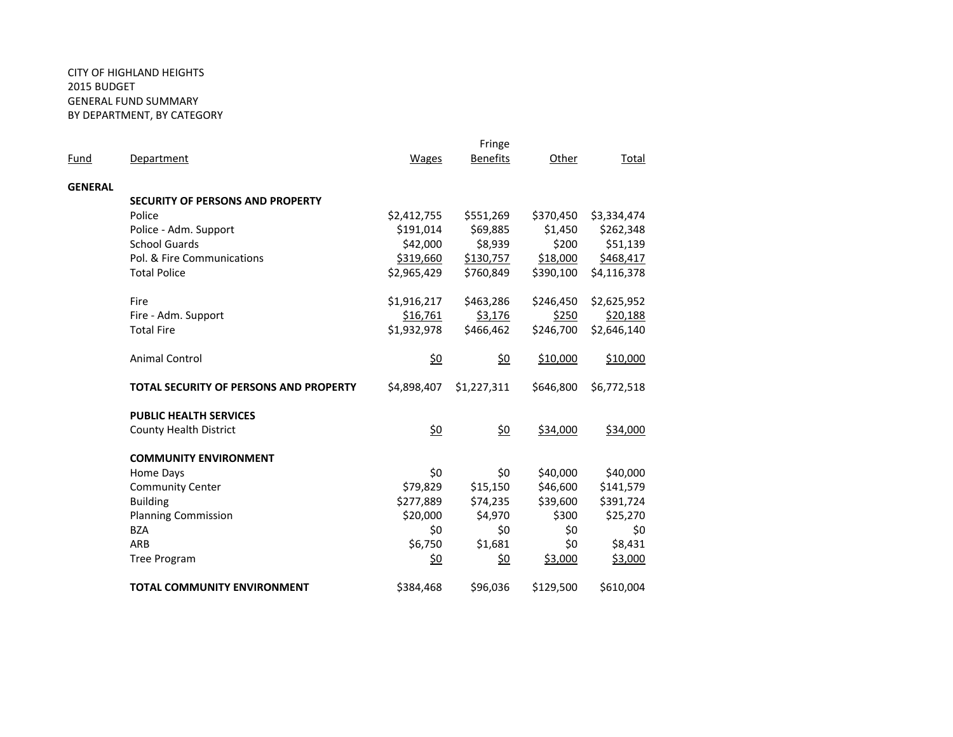### CITY OF HIGHLAND HEIGHTS 2015 BUDGET GENERAL FUND SUMMARY BY DEPARTMENT, BY CATEGORY

|                |                                               | Fringe          |                 |           |             |
|----------------|-----------------------------------------------|-----------------|-----------------|-----------|-------------|
| Fund           | Department                                    | <b>Wages</b>    | <b>Benefits</b> | Other     | Total       |
| <b>GENERAL</b> |                                               |                 |                 |           |             |
|                | <b>SECURITY OF PERSONS AND PROPERTY</b>       |                 |                 |           |             |
|                | Police                                        | \$2,412,755     | \$551,269       | \$370,450 | \$3,334,474 |
|                | Police - Adm. Support                         | \$191,014       | \$69,885        | \$1,450   | \$262,348   |
|                | <b>School Guards</b>                          | \$42,000        | \$8,939         | \$200     | \$51,139    |
|                | Pol. & Fire Communications                    | \$319,660       | \$130,757       | \$18,000  | \$468,417   |
|                | <b>Total Police</b>                           | \$2,965,429     | \$760,849       | \$390,100 | \$4,116,378 |
|                | Fire                                          | \$1,916,217     | \$463,286       | \$246,450 | \$2,625,952 |
|                | Fire - Adm. Support                           | \$16,761        | \$3,176         | \$250     | \$20,188    |
|                | <b>Total Fire</b>                             | \$1,932,978     | \$466,462       | \$246,700 | \$2,646,140 |
|                | <b>Animal Control</b>                         | <u>\$0</u>      | <u>\$0</u>      | \$10,000  | \$10,000    |
|                | <b>TOTAL SECURITY OF PERSONS AND PROPERTY</b> | \$4,898,407     | \$1,227,311     | \$646,800 | \$6,772,518 |
|                | <b>PUBLIC HEALTH SERVICES</b>                 |                 |                 |           |             |
|                | <b>County Health District</b>                 | $\frac{60}{20}$ | \$0             | \$34,000  | \$34,000    |
|                | <b>COMMUNITY ENVIRONMENT</b>                  |                 |                 |           |             |
|                | Home Days                                     | \$0             | \$0             | \$40,000  | \$40,000    |
|                | <b>Community Center</b>                       | \$79,829        | \$15,150        | \$46,600  | \$141,579   |
|                | <b>Building</b>                               | \$277,889       | \$74,235        | \$39,600  | \$391,724   |
|                | <b>Planning Commission</b>                    | \$20,000        | \$4,970         | \$300     | \$25,270    |
|                | <b>BZA</b>                                    | \$0             | \$0             | \$0       | \$0         |
|                | ARB                                           | \$6,750         | \$1,681         | \$0       | \$8,431     |
|                | <b>Tree Program</b>                           | \$0             | \$0             | \$3,000   | \$3,000     |
|                | <b>TOTAL COMMUNITY ENVIRONMENT</b>            | \$384,468       | \$96,036        | \$129,500 | \$610,004   |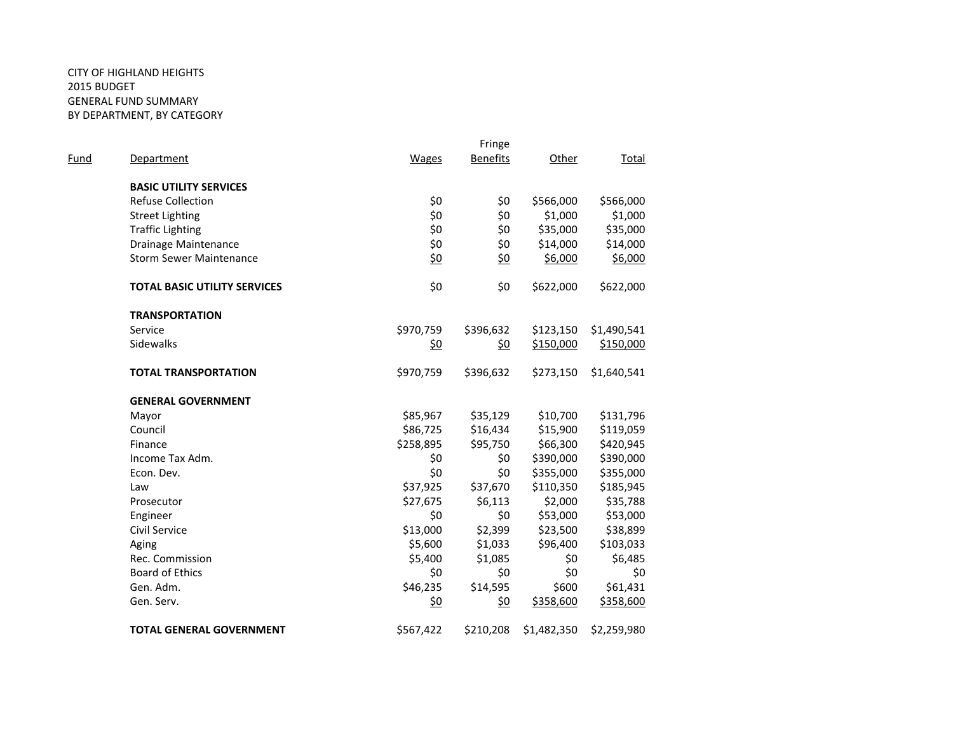### CITY OF HIGHLAND HEIGHTS 2015 BUDGET GENERAL FUND SUMMARY BY DEPARTMENT, BY CATEGORY

| Fund | <b>Department</b>                   | Wages      | Fringe<br><b>Benefits</b> | Other       | Total       |
|------|-------------------------------------|------------|---------------------------|-------------|-------------|
|      | <b>BASIC UTILITY SERVICES</b>       |            |                           |             |             |
|      | <b>Refuse Collection</b>            | \$0        | \$0                       | \$566,000   | \$566,000   |
|      | <b>Street Lighting</b>              | \$0        | \$0                       | \$1,000     | \$1,000     |
|      | <b>Traffic Lighting</b>             | \$0        | \$0                       | \$35,000    | \$35,000    |
|      | Drainage Maintenance                | \$0        | \$0                       | \$14,000    | \$14,000    |
|      | <b>Storm Sewer Maintenance</b>      | \$0        | \$0                       | \$6,000     | \$6,000     |
|      | <b>TOTAL BASIC UTILITY SERVICES</b> | \$0        | \$0                       | \$622,000   | \$622,000   |
|      | <b>TRANSPORTATION</b>               |            |                           |             |             |
|      | Service                             | \$970,759  | \$396,632                 | \$123,150   | \$1,490,541 |
|      | <b>Sidewalks</b>                    | <u>\$0</u> | \$0                       | \$150,000   | \$150,000   |
|      | <b>TOTAL TRANSPORTATION</b>         | \$970,759  | \$396,632                 | \$273,150   | \$1,640,541 |
|      | <b>GENERAL GOVERNMENT</b>           |            |                           |             |             |
|      | Mayor                               | \$85,967   | \$35,129                  | \$10,700    | \$131,796   |
|      | Council                             | \$86,725   | \$16,434                  | \$15,900    | \$119,059   |
|      | Finance                             | \$258,895  | \$95,750                  | \$66,300    | \$420,945   |
|      | Income Tax Adm.                     | \$0        | \$0                       | \$390,000   | \$390,000   |
|      | Econ. Dev.                          | \$0        | \$0                       | \$355,000   | \$355,000   |
|      | Law                                 | \$37,925   | \$37,670                  | \$110,350   | \$185,945   |
|      | Prosecutor                          | \$27,675   | \$6,113                   | \$2,000     | \$35,788    |
|      | Engineer                            | \$0        | \$0                       | \$53,000    | \$53,000    |
|      | Civil Service                       | \$13,000   | \$2,399                   | \$23,500    | \$38,899    |
|      | Aging                               | \$5,600    | \$1,033                   | \$96,400    | \$103,033   |
|      | Rec. Commission                     | \$5,400    | \$1,085                   | \$0         | \$6,485     |
|      | <b>Board of Ethics</b>              | \$0        | \$0                       | \$0         | \$0         |
|      | Gen. Adm.                           | \$46,235   | \$14,595                  | \$600       | \$61,431    |
|      | Gen. Serv.                          | <u>\$0</u> | <u>\$0</u>                | \$358,600   | \$358,600   |
|      | <b>TOTAL GENERAL GOVERNMENT</b>     | \$567,422  | \$210,208                 | \$1,482,350 | \$2,259,980 |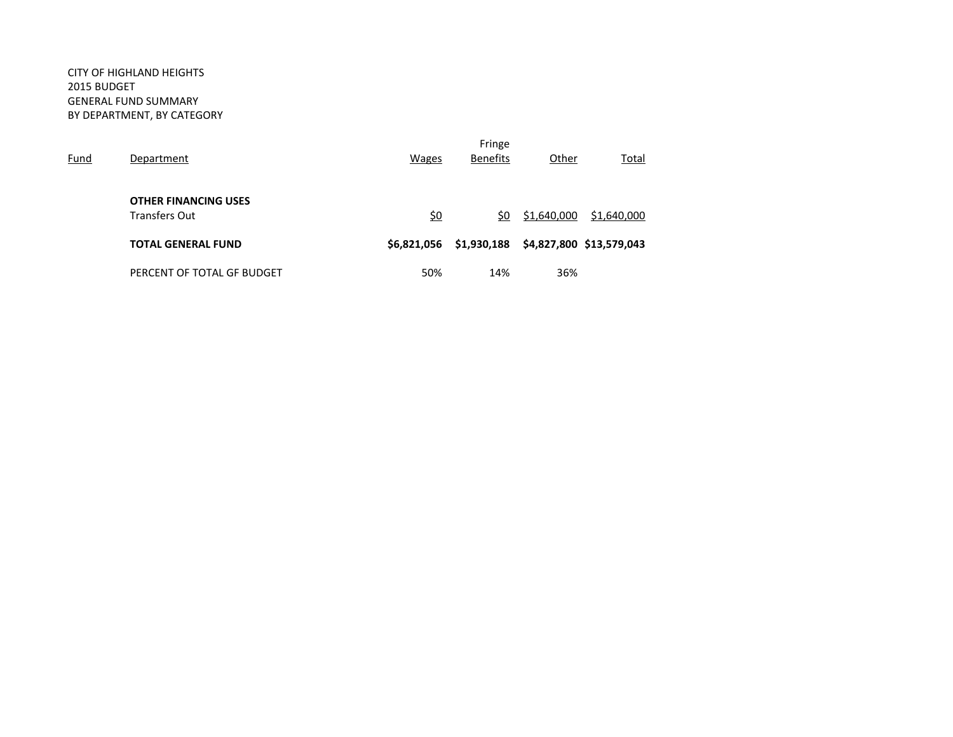### CITY OF HIGHLAND HEIGHTS 2015 BUDGET GENERAL FUND SUMMARY BY DEPARTMENT, BY CATEGORY

| Fund | Department                                          | <b>Wages</b> | Fringe<br><b>Benefits</b> | Other       | Total                    |
|------|-----------------------------------------------------|--------------|---------------------------|-------------|--------------------------|
|      | <b>OTHER FINANCING USES</b><br><b>Transfers Out</b> | <u>\$0</u>   | \$0                       | \$1,640,000 | \$1,640,000              |
|      | <b>TOTAL GENERAL FUND</b>                           | \$6,821,056  | \$1,930,188               |             | \$4,827,800 \$13,579,043 |
|      | PERCENT OF TOTAL GF BUDGET                          | 50%          | 14%                       | 36%         |                          |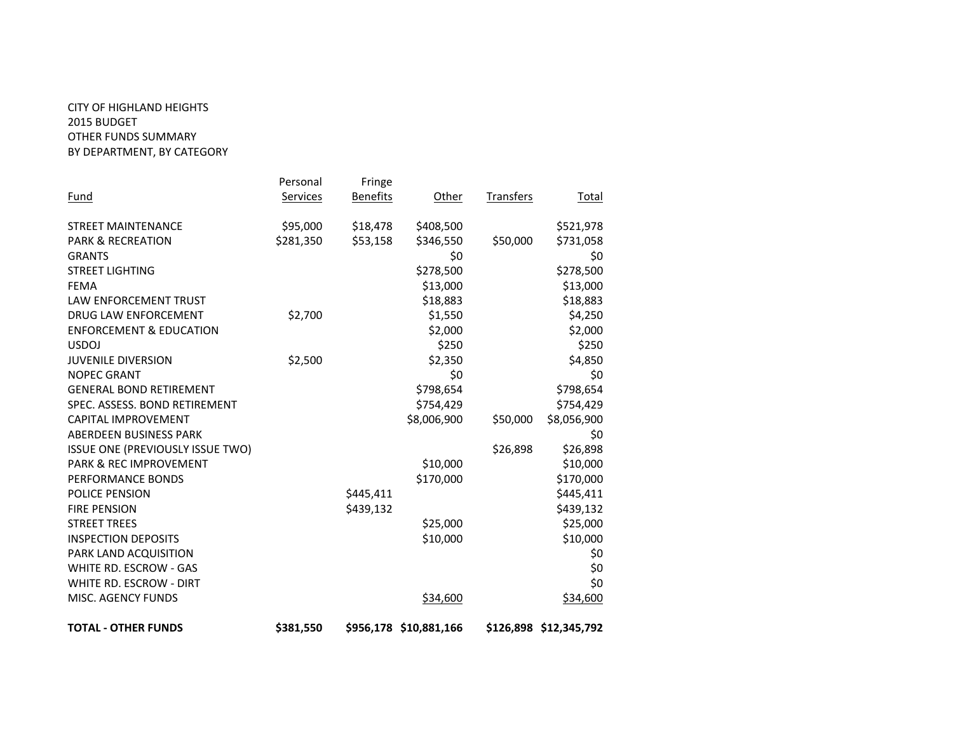## CITY OF HIGHLAND HEIGHTS 2015 BUDGET OTHER FUNDS SUMMARY BY DEPARTMENT, BY CATEGORY

|                                         | Personal  | Fringe          |                        |                  |                        |
|-----------------------------------------|-----------|-----------------|------------------------|------------------|------------------------|
| <u>Fund</u>                             | Services  | <b>Benefits</b> | Other                  | <b>Transfers</b> | Total                  |
| <b>STREET MAINTENANCE</b>               | \$95,000  | \$18,478        | \$408,500              |                  | \$521,978              |
| <b>PARK &amp; RECREATION</b>            | \$281,350 | \$53,158        | \$346,550              | \$50,000         | \$731,058              |
| <b>GRANTS</b>                           |           |                 | \$0                    |                  | \$0                    |
| <b>STREET LIGHTING</b>                  |           |                 | \$278,500              |                  | \$278,500              |
| <b>FEMA</b>                             |           |                 | \$13,000               |                  | \$13,000               |
| <b>LAW ENFORCEMENT TRUST</b>            |           |                 | \$18,883               |                  | \$18,883               |
| DRUG LAW ENFORCEMENT                    | \$2,700   |                 | \$1,550                |                  | \$4,250                |
| <b>ENFORCEMENT &amp; EDUCATION</b>      |           |                 | \$2,000                |                  | \$2,000                |
| <b>USDOJ</b>                            |           |                 | \$250                  |                  | \$250                  |
| <b>JUVENILE DIVERSION</b>               | \$2,500   |                 | \$2,350                |                  | \$4,850                |
| <b>NOPEC GRANT</b>                      |           |                 | \$0                    |                  | \$0                    |
| <b>GENERAL BOND RETIREMENT</b>          |           |                 | \$798,654              |                  | \$798,654              |
| SPEC. ASSESS. BOND RETIREMENT           |           |                 | \$754,429              |                  | \$754,429              |
| <b>CAPITAL IMPROVEMENT</b>              |           |                 | \$8,006,900            | \$50,000         | \$8,056,900            |
| ABERDEEN BUSINESS PARK                  |           |                 |                        |                  | \$0                    |
| <b>ISSUE ONE (PREVIOUSLY ISSUE TWO)</b> |           |                 |                        | \$26,898         | \$26,898               |
| PARK & REC IMPROVEMENT                  |           |                 | \$10,000               |                  | \$10,000               |
| PERFORMANCE BONDS                       |           |                 | \$170,000              |                  | \$170,000              |
| <b>POLICE PENSION</b>                   |           | \$445,411       |                        |                  | \$445,411              |
| <b>FIRE PENSION</b>                     |           | \$439,132       |                        |                  | \$439,132              |
| <b>STREET TREES</b>                     |           |                 | \$25,000               |                  | \$25,000               |
| <b>INSPECTION DEPOSITS</b>              |           |                 | \$10,000               |                  | \$10,000               |
| PARK LAND ACQUISITION                   |           |                 |                        |                  | \$0                    |
| WHITE RD. ESCROW - GAS                  |           |                 |                        |                  | \$0                    |
| WHITE RD. ESCROW - DIRT                 |           |                 |                        |                  | \$0                    |
| MISC. AGENCY FUNDS                      |           |                 | \$34,600               |                  | \$34,600               |
| <b>TOTAL - OTHER FUNDS</b>              | \$381,550 |                 | \$956,178 \$10,881,166 |                  | \$126,898 \$12,345,792 |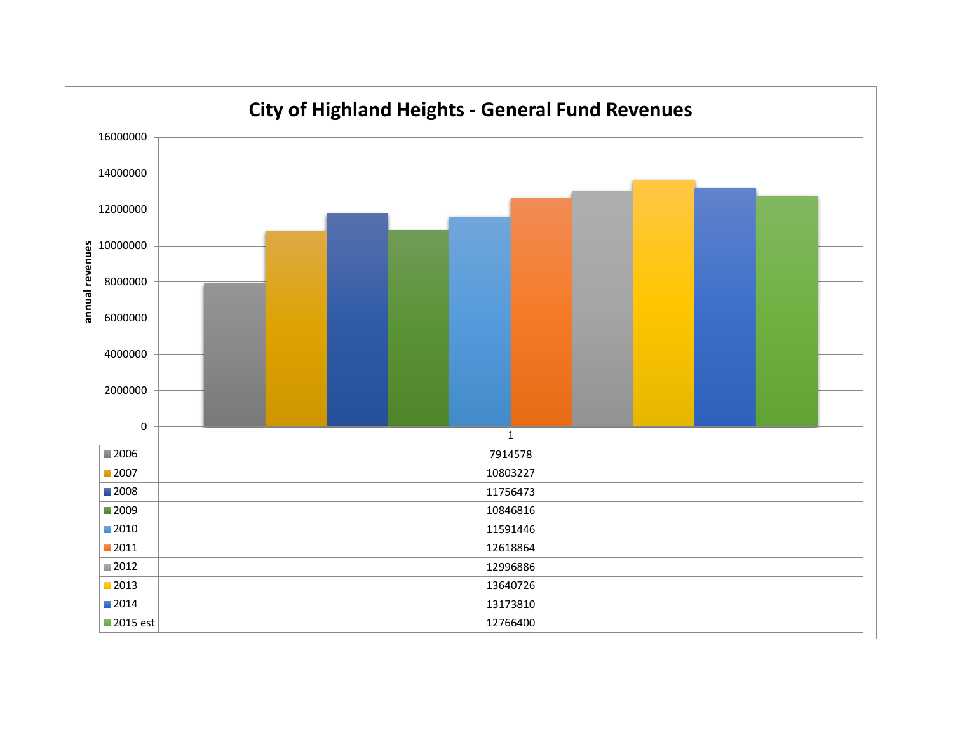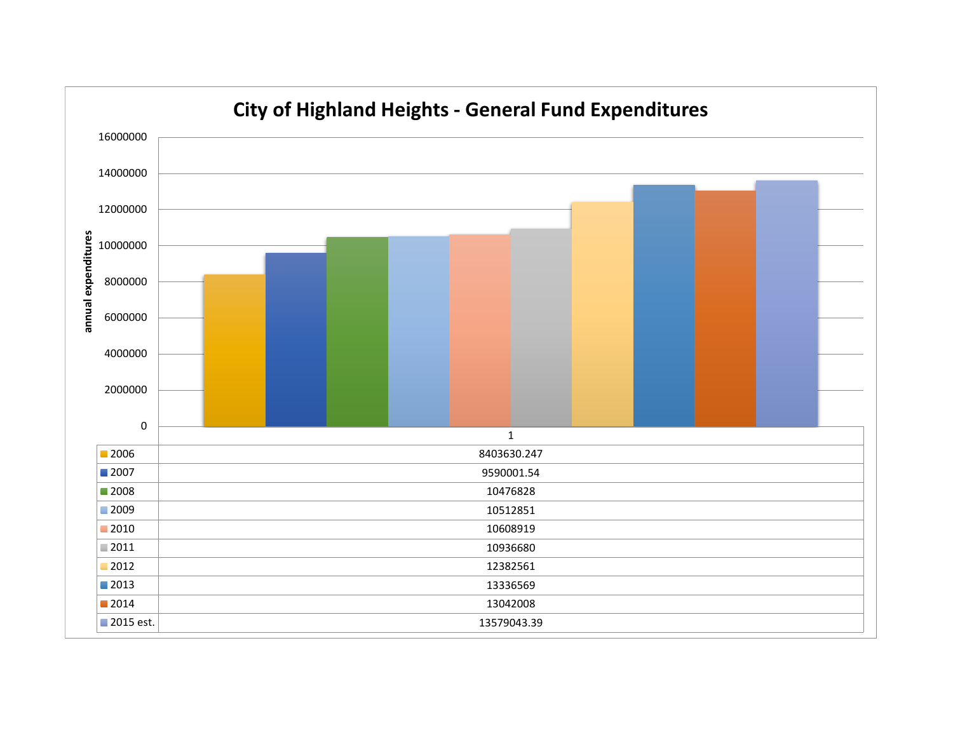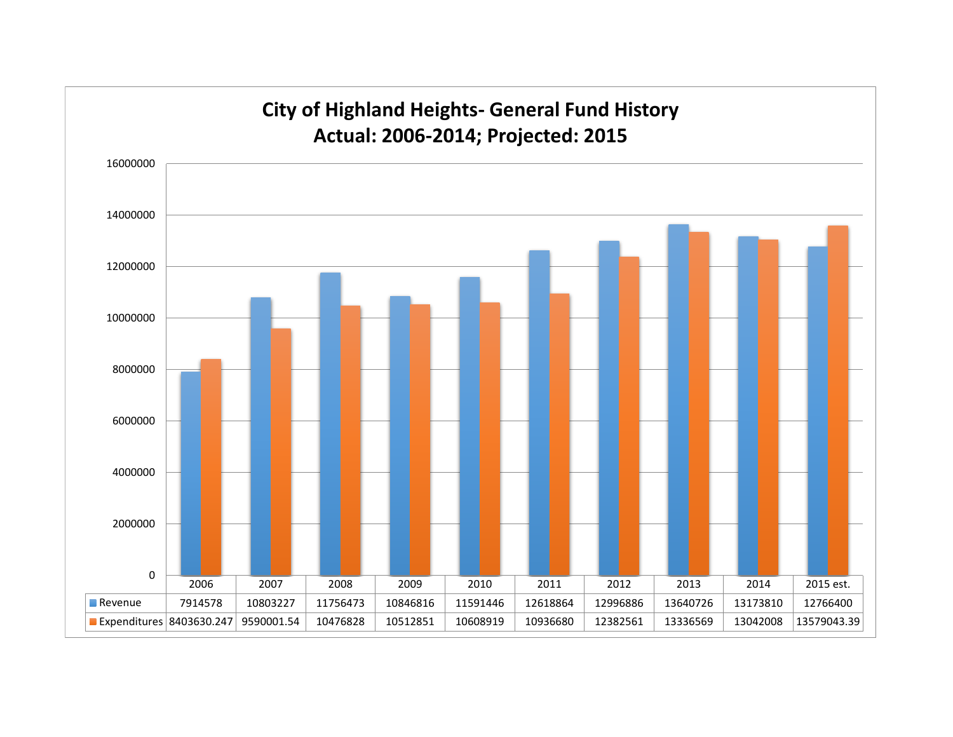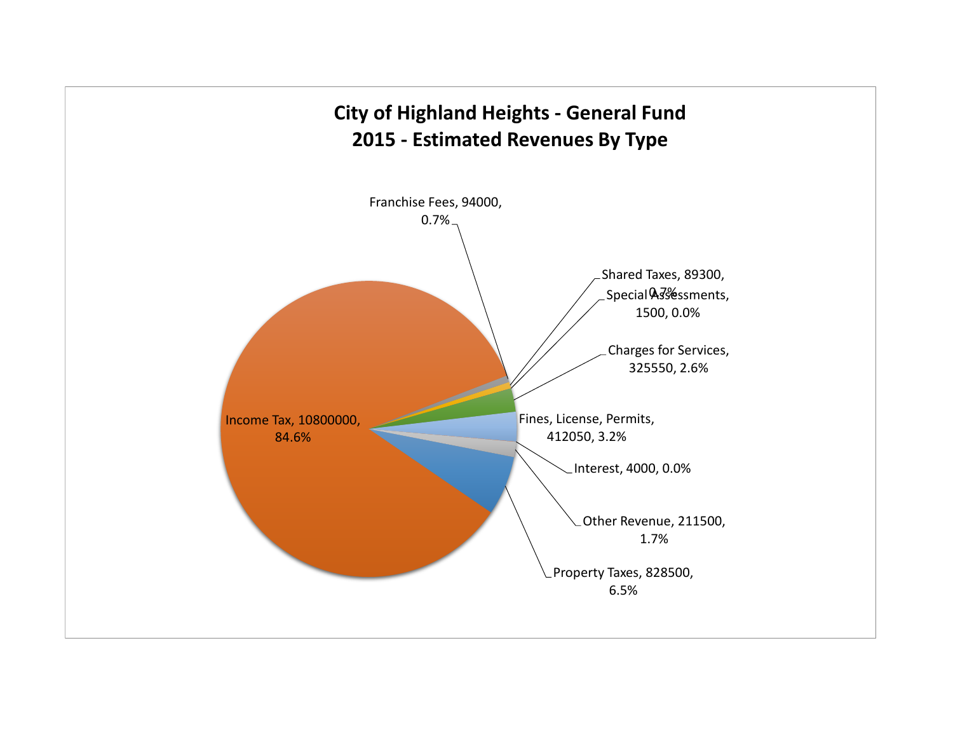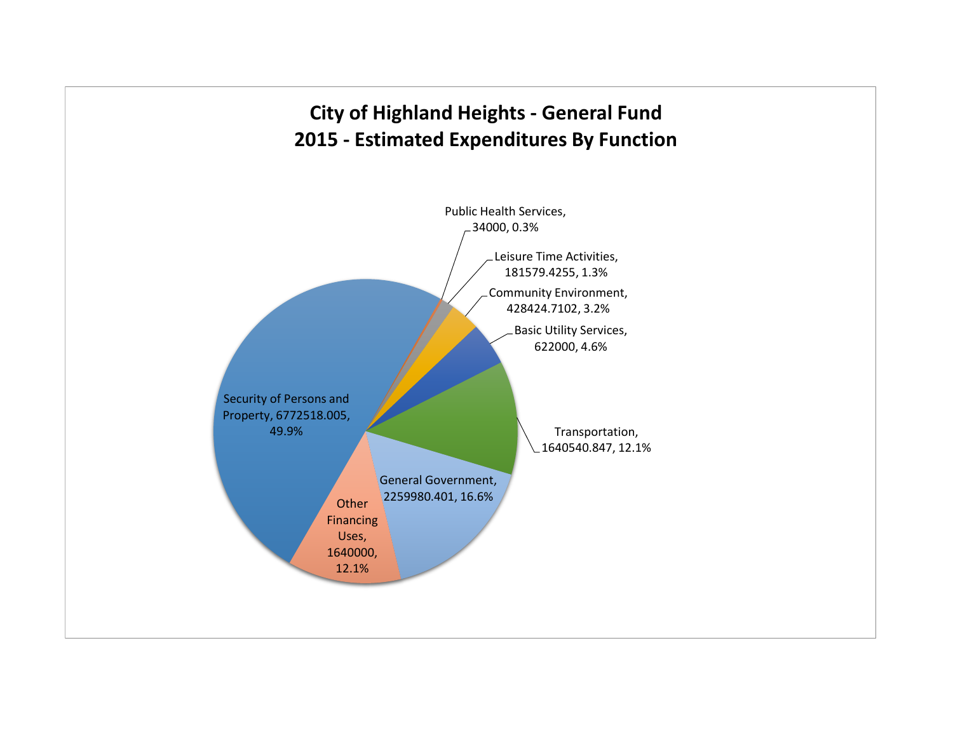